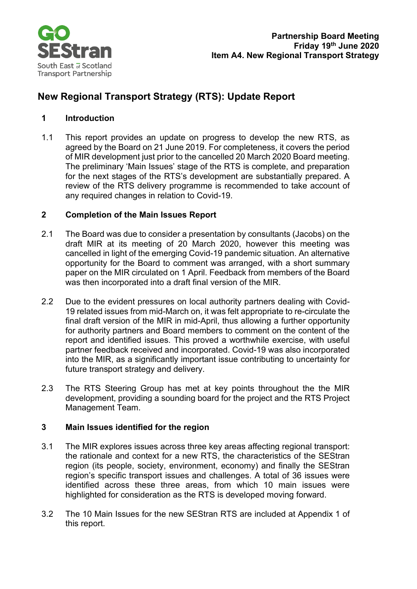

## **New Regional Transport Strategy (RTS): Update Report**

#### **1 Introduction**

1.1 This report provides an update on progress to develop the new RTS, as agreed by the Board on 21 June 2019. For completeness, it covers the period of MIR development just prior to the cancelled 20 March 2020 Board meeting. The preliminary 'Main Issues' stage of the RTS is complete, and preparation for the next stages of the RTS's development are substantially prepared. A review of the RTS delivery programme is recommended to take account of any required changes in relation to Covid-19.

#### **2 Completion of the Main Issues Report**

- 2.1 The Board was due to consider a presentation by consultants (Jacobs) on the draft MIR at its meeting of 20 March 2020, however this meeting was cancelled in light of the emerging Covid-19 pandemic situation. An alternative opportunity for the Board to comment was arranged, with a short summary paper on the MIR circulated on 1 April. Feedback from members of the Board was then incorporated into a draft final version of the MIR.
- 2.2 Due to the evident pressures on local authority partners dealing with Covid-19 related issues from mid-March on, it was felt appropriate to re-circulate the final draft version of the MIR in mid-April, thus allowing a further opportunity for authority partners and Board members to comment on the content of the report and identified issues. This proved a worthwhile exercise, with useful partner feedback received and incorporated. Covid-19 was also incorporated into the MIR, as a significantly important issue contributing to uncertainty for future transport strategy and delivery.
- 2.3 The RTS Steering Group has met at key points throughout the the MIR development, providing a sounding board for the project and the RTS Project Management Team.

#### **3 Main Issues identified for the region**

- 3.1 The MIR explores issues across three key areas affecting regional transport: the rationale and context for a new RTS, the characteristics of the SEStran region (its people, society, environment, economy) and finally the SEStran region's specific transport issues and challenges. A total of 36 issues were identified across these three areas, from which 10 main issues were highlighted for consideration as the RTS is developed moving forward.
- 3.2 The 10 Main Issues for the new SEStran RTS are included at Appendix 1 of this report.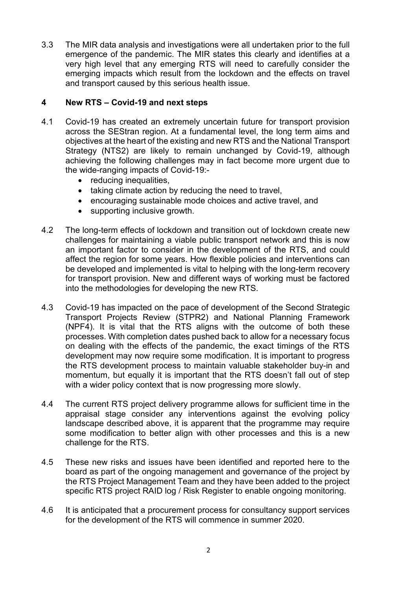3.3 The MIR data analysis and investigations were all undertaken prior to the full emergence of the pandemic. The MIR states this clearly and identifies at a very high level that any emerging RTS will need to carefully consider the emerging impacts which result from the lockdown and the effects on travel and transport caused by this serious health issue.

#### **4 New RTS – Covid-19 and next steps**

- 4.1 Covid-19 has created an extremely uncertain future for transport provision across the SEStran region. At a fundamental level, the long term aims and objectives at the heart of the existing and new RTS and the National Transport Strategy (NTS2) are likely to remain unchanged by Covid-19, although achieving the following challenges may in fact become more urgent due to the wide-ranging impacts of Covid-19:-
	- reducing inequalities.
	- taking climate action by reducing the need to travel,
	- encouraging sustainable mode choices and active travel, and
	- supporting inclusive growth.
- 4.2 The long-term effects of lockdown and transition out of lockdown create new challenges for maintaining a viable public transport network and this is now an important factor to consider in the development of the RTS, and could affect the region for some years. How flexible policies and interventions can be developed and implemented is vital to helping with the long-term recovery for transport provision. New and different ways of working must be factored into the methodologies for developing the new RTS.
- 4.3 Covid-19 has impacted on the pace of development of the Second Strategic Transport Projects Review (STPR2) and National Planning Framework (NPF4). It is vital that the RTS aligns with the outcome of both these processes. With completion dates pushed back to allow for a necessary focus on dealing with the effects of the pandemic, the exact timings of the RTS development may now require some modification. It is important to progress the RTS development process to maintain valuable stakeholder buy-in and momentum, but equally it is important that the RTS doesn't fall out of step with a wider policy context that is now progressing more slowly.
- 4.4 The current RTS project delivery programme allows for sufficient time in the appraisal stage consider any interventions against the evolving policy landscape described above, it is apparent that the programme may require some modification to better align with other processes and this is a new challenge for the RTS.
- 4.5 These new risks and issues have been identified and reported here to the board as part of the ongoing management and governance of the project by the RTS Project Management Team and they have been added to the project specific RTS project RAID log / Risk Register to enable ongoing monitoring.
- 4.6 It is anticipated that a procurement process for consultancy support services for the development of the RTS will commence in summer 2020.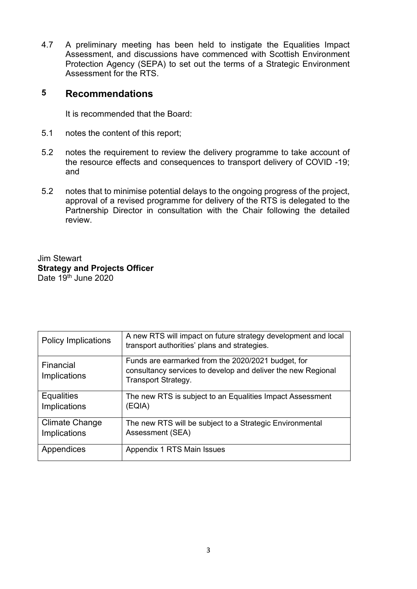4.7 A preliminary meeting has been held to instigate the Equalities Impact Assessment, and discussions have commenced with Scottish Environment Protection Agency (SEPA) to set out the terms of a Strategic Environment Assessment for the RTS.

### **5 Recommendations**

It is recommended that the Board:

- 5.1 notes the content of this report;
- 5.2 notes the requirement to review the delivery programme to take account of the resource effects and consequences to transport delivery of COVID -19; and
- 5.2 notes that to minimise potential delays to the ongoing progress of the project, approval of a revised programme for delivery of the RTS is delegated to the Partnership Director in consultation with the Chair following the detailed review.

#### Jim Stewart **Strategy and Projects Officer** Date  $19<sup>th</sup>$  June 2020

| <b>Policy Implications</b>        | A new RTS will impact on future strategy development and local<br>transport authorities' plans and strategies.                                   |
|-----------------------------------|--------------------------------------------------------------------------------------------------------------------------------------------------|
| Financial<br>Implications         | Funds are earmarked from the 2020/2021 budget, for<br>consultancy services to develop and deliver the new Regional<br><b>Transport Strategy.</b> |
| <b>Equalities</b><br>Implications | The new RTS is subject to an Equalities Impact Assessment<br>(EQIA)                                                                              |
| Climate Change<br>Implications    | The new RTS will be subject to a Strategic Environmental<br>Assessment (SEA)                                                                     |
| Appendices                        | Appendix 1 RTS Main Issues                                                                                                                       |